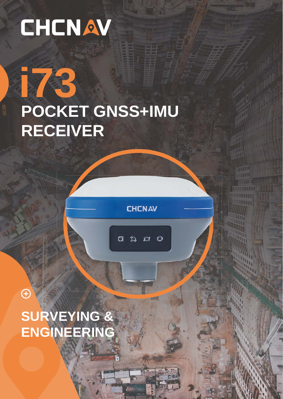# CHCNAV

73

# POCKET GNSS+IMU **RECEIVER**

**CHCNAV** 

Юt

 $\overline{C}$ 

 $\circlearrowright$ 

**HETTI** 881II

**BUILDED** 

annu!

SURVEYING & ENGINEERING

E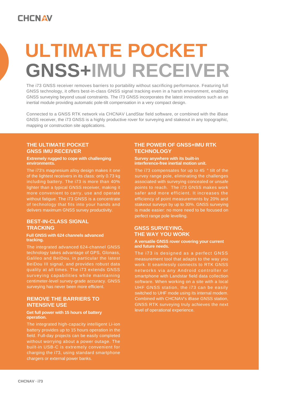### **CHCNAV**

## **ULTIMATE POCKET GNSS+IMU RECEIVER**

The i73 GNSS receiver removes barriers to portability without sacrificing performance. Featuring full GNSS technology, it offers best-in-class GNSS signal tracking even in a harsh environment, enabling GNSS surveying beyond usual constraints. The i73 GNSS incorporates the latest innovations such as an inertial module providing automatic pole-tilt compensation in a very compact design.

Connected to a GNSS RTK network via CHCNAV LandStar field software, or combined with the iBase GNSS receiver, the i73 GNSS is a highly productive rover for surveying and stakeout in any topographic, mapping or construction site applications.

#### **THE ULTIMATE POCKET GNSS IMU RECEIVER**

#### **Extremely rugged to cope with challenging environments.**

The i73's magnesium alloy design makes it one of the lightest receivers in its class: only 0.73 kg including battery. The i73 is more than 40% lighter than a typical GNSS receiver, making it more convenient to carry, use and operate without fatigue. The i73 GNSS is a concentrate of technology that fits into your hands and delivers maximum GNSS survey productivity.

#### **BEST-IN-CLASS SIGNAL TRACKING**

#### **Full GNSS with 624 channels advanced tracking.**

The integrated advanced 624-channel GNSS technology takes advantage of GPS, Glonass, Galileo and BeiDou, in particular the latest BeiDou III signal, and provides robust data quality at all times. The i73 extends GNSS surveying capabilities while maintaining centimeter-level survey-grade accuracy. GNSS surveying has never been more efficient.

#### **REMOVE THE BARRIERS TO INTENSIVE USE**

#### **Get full power with 15 hours of battery operation.**

The integrated high-capacity intelligent Li-ion battery provides up to 15 hours operation in the field. Full-day projects can be easily completed without worrying about a power outage. The built-in USB-C is extremely convenient for charging the i73, using standard smartphone chargers or external power banks.

#### **THE POWER OF GNSS+IMU RTK TECHNOLOGY**

**Survey anywhere with its built-in interference-free inertial motion unit.**

The i73 compensates for up to 45 ° tilt of the survey range pole, eliminating the challenges associated with surveying concealed or unsafe points to reach. The i73 GNSS makes work efficiency of point measurements by 20% and stakeout surveys by up to 30%. GNSS surveying is made easier: no more need to be focused on perfect range pole levelling.

#### **GNSS SURVEYING, THE WAY YOU WORK**

#### **A versatile GNSS rover covering your current and future needs.**

The i73 is designed as a perfect GNSS measurement tool that adapts to the way you work. It seamlessly connects to RTK GNSS networks via any Android controller or smartphone with Landstar field data collection software. When working on a site with a local UHF GNSS station, the i73 can be easily switched to UHF mode using its internal modem. Combined with CHCNAV's iBase GNSS station, GNSS RTK surveying truly achieves the next level of operational experience.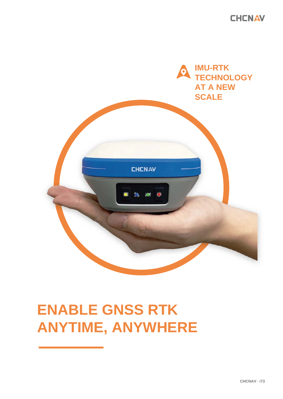**CHCNAV** 



## **ENABLE GNSS RTK ANYTIME, ANYWHERE**